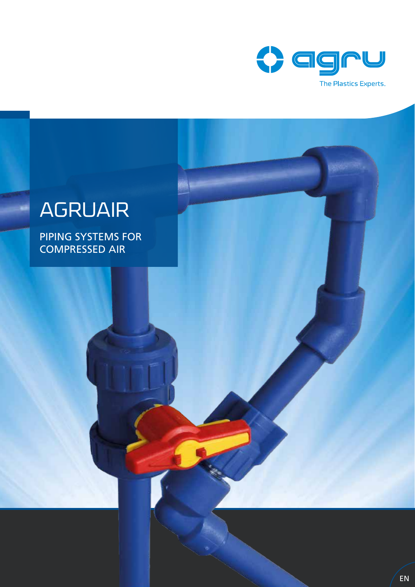

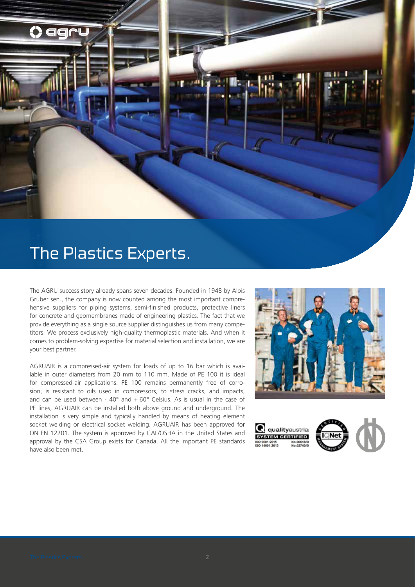

# The Plastics Experts.

The AGRU success story already spans seven decades. Founded in 1948 by Alois Gruber sen., the company is now counted among the most important comprehensive suppliers for piping systems, semi-finished products, protective liners for concrete and geomembranes made of engineering plastics. The fact that we provide everything as a single source supplier distinguishes us from many competitors. We process exclusively high-quality thermoplastic materials. And when it comes to problem-solving expertise for material selection and installation, we are your best partner.

AGRUAIR is a compressed-air system for loads of up to 16 bar which is available in outer diameters from 20 mm to 110 mm. Made of PE 100 it is ideal for compressed-air applications. PE 100 remains permanently free of corrosion, is resistant to oils used in compressors, to stress cracks, and impacts, and can be used between -  $40^{\circ}$  and  $+60^{\circ}$  Celsius. As is usual in the case of PE lines, AGRUAIR can be installed both above ground and underground. The installation is very simple and typically handled by means of heating element socket welding or electrical socket welding. AGRUAIR has been approved for ON EN 12201. The system is approved by CAL/OSHA in the United States and approval by the CSA Group exists for Canada. All the important PE standards have also been met.



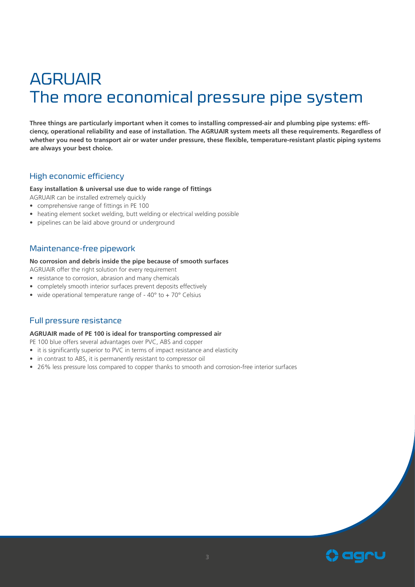# AGRUAIR The more economical pressure pipe system

**Three things are particularly important when it comes to installing compressed-air and plumbing pipe systems: efficiency, operational reliability and ease of installation. The AGRUAIR system meets all these requirements. Regardless of whether you need to transport air or water under pressure, these flexible, temperature-resistant plastic piping systems are always your best choice.**

### High economic efficiency

#### **Easy installation & universal use due to wide range of fittings**

AGRUAIR can be installed extremely quickly

- comprehensive range of fittings in PE 100
- heating element socket welding, butt welding or electrical welding possible
- pipelines can be laid above ground or underground

#### Maintenance-free pipework

#### **No corrosion and debris inside the pipe because of smooth surfaces**

AGRUAIR offer the right solution for every requirement

- resistance to corrosion, abrasion and many chemicals
- completely smooth interior surfaces prevent deposits effectively
- wide operational temperature range of 40° to + 70° Celsius

#### Full pressure resistance

#### **AGRUAIR made of PE 100 is ideal for transporting compressed air**

PE 100 blue offers several advantages over PVC, ABS and copper

- it is significantly superior to PVC in terms of impact resistance and elasticity
- in contrast to ABS, it is permanently resistant to compressor oil
- 26% less pressure loss compared to copper thanks to smooth and corrosion-free interior surfaces

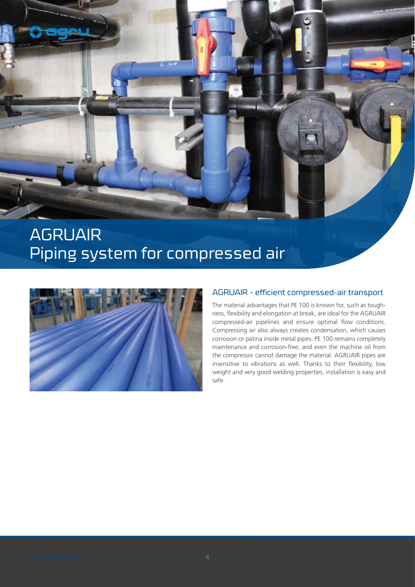

### AGRUAIR Piping system for compressed air



### AGRUAIR – efficient compressed-air transport

The material advantages that PE 100 is known for, such as toughness, flexibility and elongation at break, are ideal for the AGRUAIR compressed-air pipelines and ensure optimal flow conditions. Compressing air also always creates condensation, which causes corrosion or patina inside metal pipes. PE 100 remains completely maintenance and corrosion-free, and even the machine oil from the compressor cannot damage the material. AGRUAIR pipes are insensitive to vibrations as well. Thanks to their flexibility, low weight and very good welding properties, installation is easy and safe.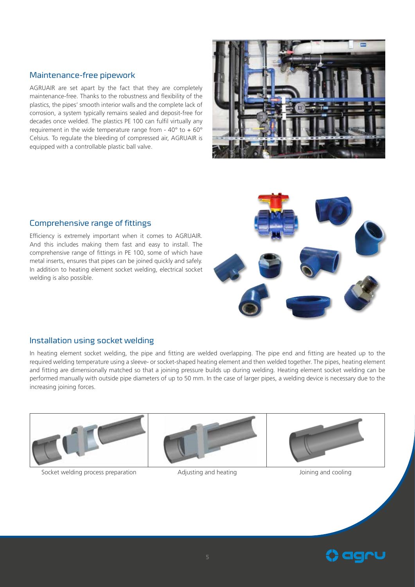### Maintenance-free pipework

AGRUAIR are set apart by the fact that they are completely maintenance-free. Thanks to the robustness and flexibility of the plastics, the pipes' smooth interior walls and the complete lack of corrosion, a system typically remains sealed and deposit-free for decades once welded. The plastics PE 100 can fulfil virtually any requirement in the wide temperature range from -  $40^{\circ}$  to +  $60^{\circ}$ Celsius. To regulate the bleeding of compressed air, AGRUAIR is equipped with a controllable plastic ball valve.



#### Comprehensive range of fittings

Efficiency is extremely important when it comes to AGRUAIR. And this includes making them fast and easy to install. The comprehensive range of fittings in PE 100, some of which have metal inserts, ensures that pipes can be joined quickly and safely. In addition to heating element socket welding, electrical socket welding is also possible.

#### Installation using socket welding

In heating element socket welding, the pipe and fitting are welded overlapping. The pipe end and fitting are heated up to the required welding temperature using a sleeve- or socket-shaped heating element and then welded together. The pipes, heating element and fitting are dimensionally matched so that a joining pressure builds up during welding. Heating element socket welding can be performed manually with outside pipe diameters of up to 50 mm. In the case of larger pipes, a welding device is necessary due to the increasing joining forces.



Socket welding process preparation **Adjusting and heating and soling and cooling and cooling** Joining and cooling



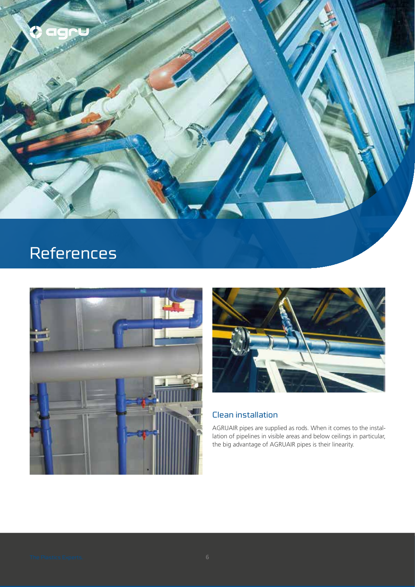

# References





### Clean installation

AGRUAIR pipes are supplied as rods. When it comes to the installation of pipelines in visible areas and below ceilings in particular, the big advantage of AGRUAIR pipes is their linearity.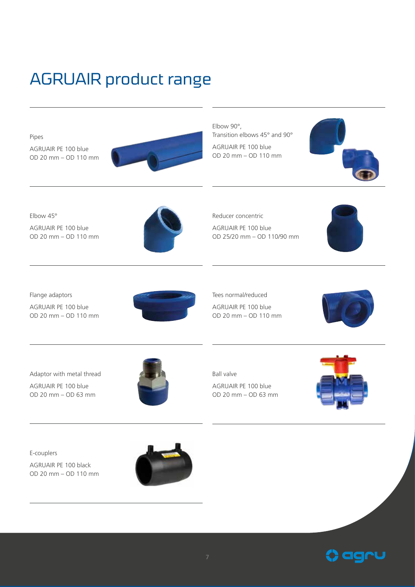# AGRUAIR product range



**C** agru